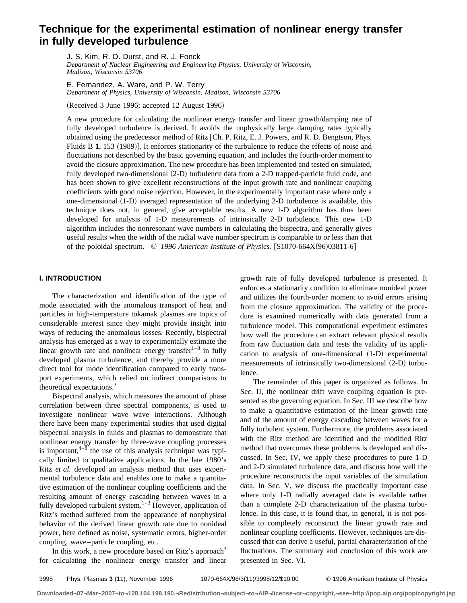# **Technique for the experimental estimation of nonlinear energy transfer in fully developed turbulence**

J. S. Kim, R. D. Durst, and R. J. Fonck *Department of Nuclear Engineering and Engineering Physics, University of Wisconsin, Madison, Wisconsin 53706*

E. Fernandez, A. Ware, and P. W. Terry *Department of Physics, University of Wisconsin, Madison, Wisconsin 53706*

 $(Received 3 June 1996; accepted 12 August 1996)$ 

A new procedure for calculating the nonlinear energy transfer and linear growth/damping rate of fully developed turbulence is derived. It avoids the unphysically large damping rates typically obtained using the predecessor method of Ritz [Ch. P. Ritz, E. J. Powers, and R. D. Bengtson, Phys. Fluids B 1, 153 (1989)]. It enforces stationarity of the turbulence to reduce the effects of noise and fluctuations not described by the basic governing equation, and includes the fourth-order moment to avoid the closure approximation. The new procedure has been implemented and tested on simulated, fully developed two-dimensional  $(2-D)$  turbulence data from a 2-D trapped-particle fluid code, and has been shown to give excellent reconstructions of the input growth rate and nonlinear coupling coefficients with good noise rejection. However, in the experimentally important case where only a one-dimensional  $(1-D)$  averaged representation of the underlying 2-D turbulence is available, this technique does not, in general, give acceptable results. A new 1-D algorithm has thus been developed for analysis of 1-D measurements of intrinsically 2-D turbulence. This new 1-D algorithm includes the nonresonant wave numbers in calculating the bispectra, and generally gives useful results when the width of the radial wave number spectrum is comparable to or less than that of the poloidal spectrum. © 1996 American Institute of Physics. [S1070-664X(96)03811-6]

# **I. INTRODUCTION**

The characterization and identification of the type of mode associated with the anomalous transport of heat and particles in high-temperature tokamak plasmas are topics of considerable interest since they might provide insight into ways of reducing the anomalous losses. Recently, bispectral analysis has emerged as a way to experimentally estimate the linear growth rate and nonlinear energy transfer $1-8$  in fully developed plasma turbulence, and thereby provide a more direct tool for mode identification compared to early transport experiments, which relied on indirect comparisons to theoretical expectations.<sup>3</sup>

Bispectral analysis, which measures the amount of phase correlation between three spectral components, is used to investigate nonlinear wave–wave interactions. Although there have been many experimental studies that used digital bispectral analysis in fluids and plasmas to demonstrate that nonlinear energy transfer by three-wave coupling processes is important, $4-8$  the use of this analysis technique was typically limited to qualitative applications. In the late 1980's Ritz *et al.* developed an analysis method that uses experimental turbulence data and enables one to make a quantitative estimation of the nonlinear coupling coefficients and the resulting amount of energy cascading between waves in a fully developed turbulent system. $1-3$  However, application of Ritz's method suffered from the appearance of nonphysical behavior of the derived linear growth rate due to nonideal power, here defined as noise, systematic errors, higher-order coupling, wave–particle coupling, etc.

In this work, a new procedure based on Ritz's approach<sup>3</sup> for calculating the nonlinear energy transfer and linear growth rate of fully developed turbulence is presented. It enforces a stationarity condition to eliminate nonideal power and utilizes the fourth-order moment to avoid errors arising from the closure approximation. The validity of the procedure is examined numerically with data generated from a turbulence model. This computational experiment estimates how well the procedure can extract relevant physical results from raw fluctuation data and tests the validity of its application to analysis of one-dimensional  $(1-D)$  experimental measurements of intrinsically two-dimensional  $(2-D)$  turbulence.

The remainder of this paper is organized as follows. In Sec. II, the nonlinear drift wave coupling equation is presented as the governing equation. In Sec. III we describe how to make a quantitative estimation of the linear growth rate and of the amount of energy cascading between waves for a fully turbulent system. Furthermore, the problems associated with the Ritz method are identified and the modified Ritz method that overcomes these problems is developed and discussed. In Sec. IV, we apply these procedures to pure 1-D and 2-D simulated turbulence data, and discuss how well the procedure reconstructs the input variables of the simulation data. In Sec. V, we discuss the practically important case where only 1-D radially averaged data is available rather than a complete 2-D characterization of the plasma turbulence. In this case, it is found that, in general, it is not possible to completely reconstruct the linear growth rate and nonlinear coupling coefficients. However, techniques are discussed that can derive a useful, partial characterization of the fluctuations. The summary and conclusion of this work are presented in Sec. VI.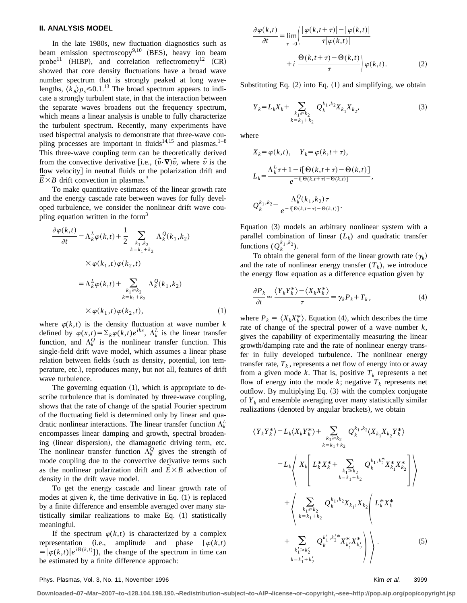## **II. ANALYSIS MODEL**

In the late 1980s, new fluctuation diagnostics such as beam emission spectroscopy $9,10$  (BES), heavy ion beam probe<sup>11</sup> (HIBP), and correlation reflectrometry<sup>12</sup> (CR) showed that core density fluctuations have a broad wave number spectrum that is strongly peaked at long wavelengths,  $\langle k_{\theta} \rangle \rho_s \le 0.1$ .<sup>13</sup> The broad spectrum appears to indicate a strongly turbulent state, in that the interaction between the separate waves broadens out the frequency spectrum, which means a linear analysis is unable to fully characterize the turbulent spectrum. Recently, many experiments have used bispectral analysis to demonstrate that three-wave coupling processes are important in fluids<sup>14,15</sup> and plasmas.<sup>1–8</sup> This three-wave coupling term can be theoretically derived from the convective derivative [i.e.,  $(\vec{v}\cdot\nabla)\vec{v}$ , where  $\vec{v}$  is the flow velocity] in neutral fluids or the polarization drift and flow velocity] in neutral fluids or  $\overline{E} \times B$  drift convection in plasmas.<sup>3</sup>

To make quantitative estimates of the linear growth rate and the energy cascade rate between waves for fully developed turbulence, we consider the nonlinear drift wave coupling equation written in the form<sup>3</sup>

$$
\frac{\partial \varphi(k,t)}{\partial t} = \Lambda_k^L \varphi(k,t) + \frac{1}{2} \sum_{\substack{k_1, k_2 \\ k = k_1 + k_2}} \Lambda_k^Q(k_1, k_2)
$$
  
 
$$
\times \varphi(k_1, t) \varphi(k_2, t)
$$
  

$$
= \Lambda_k^L \varphi(k,t) + \sum_{\substack{k_1 \ge k_2 \\ k = k_1 + k_2}} \Lambda_k^Q(k_1, k_2)
$$
  

$$
\times \varphi(k_1, t) \varphi(k_2, t), \qquad (1)
$$

where  $\varphi(k,t)$  is the density fluctuation at wave number *k* defined by  $\varphi(x,t) = \sum_k \varphi(k,t)e^{ikx}$ ,  $\Lambda_k^L$  is the linear transfer function, and  $\Lambda_k^Q$  is the nonlinear transfer function. This single-field drift wave model, which assumes a linear phase relation between fields (such as density, potential, ion temperature, etc.), reproduces many, but not all, features of drift wave turbulence.

The governing equation  $(1)$ , which is appropriate to describe turbulence that is dominated by three-wave coupling, shows that the rate of change of the spatial Fourier spectrum of the fluctuating field is determined only by linear and quadratic nonlinear interactions. The linear transfer function  $\Lambda_k^L$ encompasses linear damping and growth, spectral broadening (linear dispersion), the diamagnetic driving term, etc. The nonlinear transfer function  $\Lambda_k^Q$  gives the strength of mode coupling due to the convective derivative terms such mode coupling due to the convective derivative terms such as the nonlinear polarization drift and  $\widetilde{E} \times B$  advection of density in the drift wave model.

To get the energy cascade and linear growth rate of modes at given  $k$ , the time derivative in Eq.  $(1)$  is replaced by a finite difference and ensemble averaged over many statistically similar realizations to make Eq.  $(1)$  statistically meaningful.

If the spectrum  $\varphi(k,t)$  is characterized by a complex representation (i.e., amplitude and phase  $[\varphi(k,t)]$  $=\left[\varphi(k,t)|e^{i\Theta(k,t)}\right]$ , the change of the spectrum in time can be estimated by a finite difference approach:

$$
\frac{\partial \varphi(k,t)}{\partial t} = \lim_{\tau \to 0} \left( \frac{|\varphi(k,t+\tau)| - |\varphi(k,t)|}{\tau |\varphi(k,t)|} + i \frac{\Theta(k,t+\tau) - \Theta(k,t)}{\tau} \right) \varphi(k,t).
$$
\n(2)

Substituting Eq.  $(2)$  into Eq.  $(1)$  and simplifying, we obtain

$$
Y_k = L_k X_k + \sum_{\substack{k_1 \ge k_2 \\ k = k_1 + k_2}} Q_k^{k_1, k_2} X_{k_1} X_{k_2},\tag{3}
$$

where

$$
X_k = \varphi(k, t), \quad Y_k = \varphi(k, t + \tau),
$$
  
\n
$$
L_k = \frac{\Lambda_k^L \tau + 1 - i[\Theta(k, t + \tau) - \Theta(k, t)]}{e^{-i[\Theta(k, t + \tau) - \Theta(k, t)]}},
$$
  
\n
$$
Q_k^{k_1, k_2} = \frac{\Lambda_k^Q(k_1, k_2) \tau}{e^{-i[\Theta(k, t + \tau) - \Theta(k, t)]}}.
$$

Equation  $(3)$  models an arbitrary nonlinear system with a parallel combination of linear  $(L_k)$  and quadratic transfer functions  $(Q_k^{k_1, k_2})$ .

To obtain the general form of the linear growth rate  $(\gamma_k)$ and the rate of nonlinear energy transfer  $(T_k)$ , we introduce the energy flow equation as a difference equation given by

$$
\frac{\partial P_k}{\partial t} \approx \frac{\langle Y_k Y_k^* \rangle - \langle X_k X_k^* \rangle}{\tau} = \gamma_k P_k + T_k, \qquad (4)
$$

where  $P_k = \langle X_k X_k^* \rangle$ . Equation (4), which describes the time rate of change of the spectral power of a wave number *k*, gives the capability of experimentally measuring the linear growth/damping rate and the rate of nonlinear energy transfer in fully developed turbulence. The nonlinear energy transfer rate,  $T_k$ , represents a net flow of energy into or away from a given mode  $k$ . That is, positive  $T_k$  represents a net flow of energy into the mode  $k$ ; negative  $T_k$  represents net outflow. By multiplying Eq.  $(3)$  with the complex conjugate of  $Y_k$  and ensemble averaging over many statistically similar realizations (denoted by angular brackets), we obtain

$$
\langle Y_{k} Y_{k}^{*} \rangle = L_{k} \langle X_{k} Y_{k}^{*} \rangle + \sum_{k_{1} = k_{2}} Q_{k}^{k_{1}, k_{2}} \langle X_{k_{1}} X_{k_{2}} Y_{k}^{*} \rangle
$$
  
\n
$$
= L_{k} \langle X_{k} \left[ L_{k}^{*} X_{k}^{*} + \sum_{k_{1} = k_{2}} Q_{k}^{k_{1}, k_{2}^{*}} X_{k_{1}}^{*} X_{k_{2}}^{*} \right] \rangle
$$
  
\n
$$
+ \langle X_{k_{1} = k_{1} + k_{2}} \left( L_{k}^{*} X_{k}^{*} + \sum_{k_{1} = k_{1} + k_{2}} Q_{k}^{k_{1}, k_{2}} X_{k_{1}}^{*} X_{k_{2}}^{*} \right) \rangle
$$
  
\n
$$
+ \langle X_{k_{1} = k_{1} + k_{2}} \left( L_{k}^{*} X_{k}^{*} X_{k}^{*} X_{k_{2}}^{*} \right) \rangle + \sum_{k_{1} = k_{1} + k_{2}} Q_{k}^{k_{1}', k_{2}'} X_{k_{1}'}^{*} X_{k_{2}}^{*} \rangle
$$
  
\n
$$
+ \sum_{k_{1} = k_{1} + k_{2}} Q_{k}^{k_{1}', k_{2}'} X_{k_{1}'}^{*} X_{k_{2}}^{*} \rangle \rangle . \tag{5}
$$

#### Phys. Plasmas, Vol. 3, No. 11, November 1996 Kim et al. 3999 Kim et al. 3999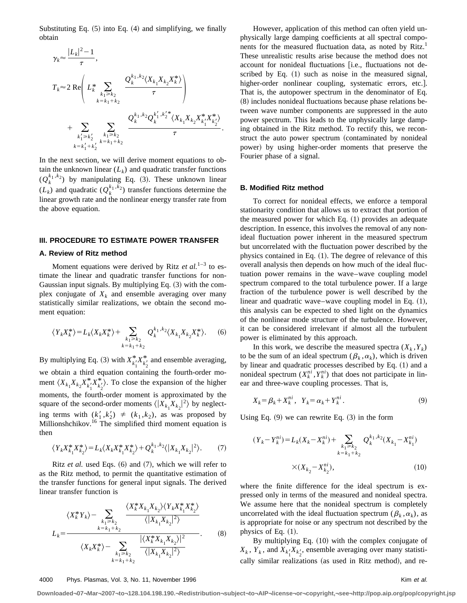Substituting Eq.  $(5)$  into Eq.  $(4)$  and simplifying, we finally obtain

$$
\gamma_k \approx \frac{|L_k|^2 - 1}{\tau},
$$
\n
$$
T_k \approx 2 \text{ Re }\left(L_k^* \sum_{\substack{k_1 \ge k_2 \\ k \ne k_1 + k_2}} \frac{Q_k^{k_1, k_2} \langle X_{k_1} X_{k_2} X_k^* \rangle}{\tau}\right)
$$
\n
$$
+ \sum_{\substack{k'_1 \ge k'_2 \\ k \ne k'_1 + k'_2}} \sum_{\substack{k_1 \ge k_2 \\ k \ne k_1 + k_2}} \frac{Q_k^{k_1, k_2} Q_k^{k'_1, k'_2} \langle X_{k_1} X_{k_2} X_{k'_1}^* X_{k'_2}^* \rangle}{\tau}.
$$

In the next section, we will derive moment equations to obtain the unknown linear  $(L_k)$  and quadratic transfer functions  $(Q_k^{k_1,k_2})$  by manipulating Eq. (3). These unknown linear  $(L_k)$  and quadratic  $(Q_k^{k_1,k_2})$  transfer functions determine the linear growth rate and the nonlinear energy transfer rate from the above equation.

## **III. PROCEDURE TO ESTIMATE POWER TRANSFER**

## **A. Review of Ritz method**

Moment equations were derived by Ritz *et al.*<sup>1–3</sup> to estimate the linear and quadratic transfer functions for non-Gaussian input signals. By multiplying Eq.  $(3)$  with the complex conjugate of  $X_k$  and ensemble averaging over many statistically similar realizations, we obtain the second moment equation:

$$
\langle Y_k X_k^* \rangle = L_k \langle X_k X_k^* \rangle + \sum_{\substack{k_1 \ge k_2 \\ k = k_1 + k_2}} Q_k^{k_1, k_2} \langle X_{k_1} X_{k_2} X_k^* \rangle. \tag{6}
$$

By multiplying Eq. (3) with  $X_{k_1'}^* X_{k_2'}^*$  and ensemble averaging, we obtain a third equation containing the fourth-order moment  $\langle X_{k_1} X_{k_2} X_{k'_1}^* X_{k'_2}^* \rangle$ . To close the expansion of the higher moments, the fourth-order moment is approximated by the square of the second-order moments  $\langle |X_{k_1} X_{k_2}|^2 \rangle$  by neglecting terms with  $(k'_1, k'_2) \neq (k_1, k_2)$ , as was proposed by Millionshchikov.<sup>16</sup> The simplified third moment equation is then

$$
\langle Y_k X_{k_1}^* X_{k_2}^* \rangle = L_k \langle X_k X_{k_1}^* X_{k_2}^* \rangle + Q_k^{k_1, k_2} \langle |X_{k_1} X_{k_2}|^2 \rangle. \tag{7}
$$

Ritz *et al.* used Eqs.  $(6)$  and  $(7)$ , which we will refer to as the Ritz method, to permit the quantitative estimation of the transfer functions for general input signals. The derived linear transfer function is

$$
\langle X_{k}^{*} Y_{k} \rangle - \sum_{\substack{k_{1} \geq k_{2} \\ k=k_{1}+k_{2}}} \frac{\langle X_{k}^{*} X_{k_{1}} X_{k_{2}} \rangle \langle Y_{k} X_{k_{1}}^{*} X_{k_{2}}^{*} \rangle}{\langle |X_{k_{1}} X_{k_{2}}|^{2} \rangle}
$$

$$
L_{k} = \frac{\langle X_{k} X_{k}^{*} \rangle - \sum_{\substack{k_{1} \geq k_{2} \\ k=k_{1}+k_{2}}} \frac{|\langle X_{k}^{*} X_{k_{1}} X_{k_{2}} \rangle|^{2}}{\langle |X_{k_{1}} X_{k_{2}}|^{2} \rangle}.
$$
(8)

However, application of this method can often yield unphysically large damping coefficients at all spectral components for the measured fluctuation data, as noted by Ritz.<sup>1</sup> These unrealistic results arise because the method does not account for nonideal fluctuations [i.e., fluctuations not described by Eq.  $(1)$  such as noise in the measured signal, higher-order nonlinear coupling, systematic errors, etc.]. That is, the autopower spectrum in the denominator of Eq.  $(8)$  includes nonideal fluctuations because phase relations between wave number components are suppressed in the auto power spectrum. This leads to the unphysically large damping obtained in the Ritz method. To rectify this, we reconstruct the auto power spectrum (contaminated by nonideal power) by using higher-order moments that preserve the Fourier phase of a signal.

#### **B. Modified Ritz method**

To correct for nonideal effects, we enforce a temporal stationarity condition that allows us to extract that portion of the measured power for which Eq.  $(1)$  provides an adequate description. In essence, this involves the removal of any nonideal fluctuation power inherent in the measured spectrum but uncorrelated with the fluctuation power described by the physics contained in Eq.  $(1)$ . The degree of relevance of this overall analysis then depends on how much of the ideal fluctuation power remains in the wave–wave coupling model spectrum compared to the total turbulence power. If a large fraction of the turbulence power is well described by the linear and quadratic wave–wave coupling model in Eq.  $(1)$ , this analysis can be expected to shed light on the dynamics of the nonlinear mode structure of the turbulence. However, it can be considered irrelevant if almost all the turbulent power is eliminated by this approach.

In this work, we describe the measured spectra  $(X_k, Y_k)$ to be the sum of an ideal spectrum  $(\beta_k, \alpha_k)$ , which is driven by linear and quadratic processes described by Eq.  $(1)$  and a nonideal spectrum  $(X_k^{ni}, Y_k^{ni})$  that does not participate in linear and three-wave coupling processes. That is,

$$
X_k = \beta_k + X_k^{ni}, \quad Y_k = \alpha_k + Y_k^{ni}.
$$
\n<sup>(9)</sup>

Using Eq.  $(9)$  we can rewrite Eq.  $(3)$  in the form

$$
(Y_k - Y_k^{ni}) = L_k(X_k - X_k^{ni}) + \sum_{\substack{k_1 \ge k_2 \\ k = k_1 + k_2}} Q_k^{k_1, k_2}(X_{k_1} - X_{k_1}^{ni})
$$
  
 
$$
\times (X_{k_2} - X_{k_2}^{ni}), \qquad (10)
$$

where the finite difference for the ideal spectrum is expressed only in terms of the measured and nonideal spectra. We assume here that the nonideal spectrum is completely uncorrelated with the ideal fluctuation spectrum ( $\beta_k$ ,  $\alpha_k$ ), as is appropriate for noise or any spectrum not described by the physics of Eq.  $(1)$ .

By multiplying Eq.  $(10)$  with the complex conjugate of  $X_k$ ,  $Y_k$ , and  $X_{k_1'}X_{k_2'}$ , ensemble averaging over many statistically similar realizations (as used in Ritz method), and re-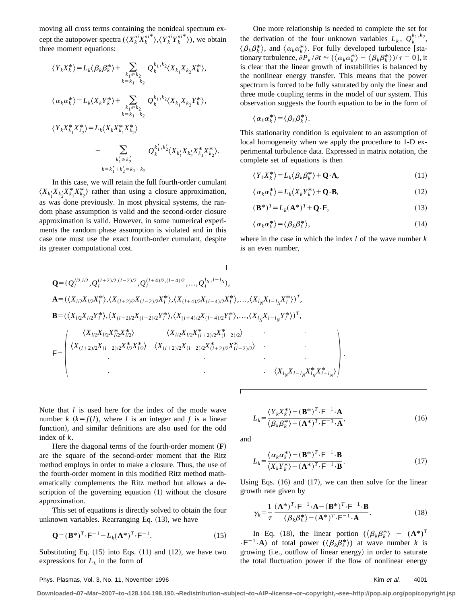moving all cross terms containing the nonideal spectrum except the autopower spectra  $(\langle X_k^{ni} X_k^{ni*} \rangle, \langle Y_k^{ni*} Y_k^{ni*} \rangle)$ , we obtain three moment equations:

$$
\langle Y_{k} X_{k}^{*} \rangle = L_{k} \langle \beta_{k} \beta_{k}^{*} \rangle + \sum_{\substack{k_{1} \geq k_{2} \\ k=k_{1}+k_{2}}} Q_{k}^{k_{1},k_{2}} \langle X_{k_{1}} X_{k_{2}} X_{k}^{*} \rangle,
$$
  

$$
\langle \alpha_{k} \alpha_{k}^{*} \rangle = L_{k} \langle X_{k} Y_{k}^{*} \rangle + \sum_{\substack{k_{1} \geq k_{2} \\ k=k_{1}+k_{2}}} Q_{k}^{k_{1},k_{2}} \langle X_{k_{1}} X_{k_{2}} Y_{k}^{*} \rangle,
$$
  

$$
\langle Y_{k} X_{k_{1}}^{*} X_{k_{2}}^{*} \rangle = L_{k} \langle X_{k} X_{k_{1}}^{*} X_{k_{2}}^{*} \rangle
$$
  

$$
+ \sum_{\substack{k_{1} \geq k_{2}^{\prime} \\ k=k_{1}+k_{2}^{\prime}=k_{1}+k_{2}}} Q_{k}^{k_{1}^{\prime},k_{2}^{\prime}} \langle X_{k_{1}} X_{k_{2}} X_{k}^{*} X_{k}^{*} \rangle.
$$

In this case, we will retain the full fourth-order cumulant  $\langle X_{k_1'}X_{k_2'}X_{k_1}^*X_{k_2}^* \rangle$  rather than using a closure approximation, as was done previously. In most physical systems, the random phase assumption is valid and the second-order closure approximation is valid. However, in some numerical experiments the random phase assumption is violated and in this case one must use the exact fourth-order cumulant, despite its greater computational cost.

One more relationship is needed to complete the set for the derivation of the four unknown variables  $L_k$ ,  $Q_k^{k_1,k_2}$ ,  $\langle \beta_k \beta_k^* \rangle$ , and  $\langle \alpha_k \alpha_k^* \rangle$ . For fully developed turbulence [stationary turbulence,  $\partial P_k / \partial t \approx (\langle \alpha_k \alpha_k^* \rangle - \langle \beta_k \beta_k^* \rangle)/\tau = 0]$ , it is clear that the linear growth of instabilities is balanced by the nonlinear energy transfer. This means that the power spectrum is forced to be fully saturated by only the linear and three mode coupling terms in the model of our system. This observation suggests the fourth equation to be in the form of

$$
\langle \alpha_k \alpha_k^* \rangle = \langle \beta_k \beta_k^* \rangle.
$$

This stationarity condition is equivalent to an assumption of local homogeneity when we apply the procedure to 1-D experimental turbulence data. Expressed in matrix notation, the complete set of equations is then

$$
\langle Y_k X_k^* \rangle = L_k \langle \beta_k \beta_k^* \rangle + \mathbf{Q} \cdot \mathbf{A},\tag{11}
$$

$$
\langle \alpha_k \alpha_k^* \rangle = L_k \langle X_k Y_k^* \rangle + \mathbf{Q} \cdot \mathbf{B}, \tag{12}
$$

$$
(\mathbf{B}^*)^T = L_k(\mathbf{A}^*)^T + \mathbf{Q} \cdot \mathbf{F},\tag{13}
$$

$$
\langle \alpha_k \alpha_k^* \rangle = \langle \beta_k \beta_k^* \rangle, \tag{14}
$$

where in the case in which the index *l* of the wave number *k* is an even number,

$$
Q = (Q_l^{l/2,l/2}, Q_l^{(l+2)/2,(l-2)/2}, Q_l^{(l+4)/2,(l-4)/2}, ..., Q_l^{l_N, l-l_N}),
$$
  
\n
$$
A = (\langle X_{l/2}X_{l/2}X_l^*\rangle, \langle X_{(l+2)/2}X_{(l-2)/2}X_l^*\rangle, \langle X_{(l+4)/2}X_{(l-4)/2}X_l^*\rangle, ..., \langle X_{l_N}X_{l-l_N}X_l^*\rangle)^T,
$$
  
\n
$$
B = (\langle X_{l/2}X_{l/2}Y_l^*\rangle, \langle X_{(l+2)/2}X_{(l-2)/2}Y_l^*\rangle, \langle X_{(l+4)/2}X_{(l-4)/2}Y_l^*\rangle, ..., \langle X_{l_N}X_{l-l_N}Y_l^*\rangle)^T,
$$
  
\n
$$
\langle X_{l/2}X_{l/2}X_{l/2}^*X_{l/2}^*\rangle \qquad \langle X_{l/2}X_{l/2}X_l^*_{(l+2)/2}X_l^*_{(l-2)/2}\rangle
$$
  
\n
$$
F = \begin{pmatrix} \langle X_{l/2}X_{l/2}X_{l/2}^*X_{l/2}^*\rangle & \langle X_{l/2}X_{l/2}X_l^*X_{l/2}X_{(l-2)/2}X_{(l-2)/2}^*\rangle \\ \langle X_{l/2}X_{l/2}X_{l/2}X_{l/2}X_{(l-2)/2}X_{(l-2)/2}X_{(l-2)/2}^*\rangle & \langle X_{l_N}X_{l-l_N}X_l^*X_{l-l_N}^*\rangle \end{pmatrix}.
$$

Note that *l* is used here for the index of the mode wave number  $k$  ( $k = f(l)$ , where *l* is an integer and *f* is a linear function), and similar definitions are also used for the odd index of *k*.

Here the diagonal terms of the fourth-order moment  $(F)$ are the square of the second-order moment that the Ritz method employs in order to make a closure. Thus, the use of the fourth-order moment in this modified Ritz method mathematically complements the Ritz method but allows a description of the governing equation  $(1)$  without the closure approximation.

This set of equations is directly solved to obtain the four unknown variables. Rearranging Eq.  $(13)$ , we have

$$
\mathbf{Q} = (\mathbf{B}^*)^T \cdot \mathbf{F}^{-1} - L_k (\mathbf{A}^*)^T \cdot \mathbf{F}^{-1}.
$$
 (15)

Substituting Eq.  $(15)$  into Eqs.  $(11)$  and  $(12)$ , we have two expressions for  $L_k$  in the form of

$$
\mathbf{L}_{\mathbf{r}}
$$

$$
L_k = \frac{\langle Y_k X_k^* \rangle - (\mathbf{B}^*)^T \cdot \mathbf{F}^{-1} \cdot \mathbf{A}}{\langle \beta_k \beta_k^* \rangle - (\mathbf{A}^*)^T \cdot \mathbf{F}^{-1} \cdot \mathbf{A}},\tag{16}
$$

and

$$
L_k = \frac{\langle \alpha_k \alpha_k^* \rangle - (\mathbf{B}^*)^T \cdot \mathbf{F}^{-1} \cdot \mathbf{B}}{\langle X_k Y_k^* \rangle - (\mathbf{A}^*)^T \cdot \mathbf{F}^{-1} \cdot \mathbf{B}}.
$$
 (17)

Using Eqs.  $(16)$  and  $(17)$ , we can then solve for the linear growth rate given by

$$
\gamma_k = \frac{1}{\tau} \frac{(\mathbf{A}^*)^T \cdot \mathbf{F}^{-1} \cdot \mathbf{A} - (\mathbf{B}^*)^T \cdot \mathbf{F}^{-1} \cdot \mathbf{B}}{\langle \beta_k \beta_k^* \rangle - (\mathbf{A}^*)^T \cdot \mathbf{F}^{-1} \cdot \mathbf{A}}.
$$
 (18)

In Eq. (18), the linear portion  $(\langle \beta_k \beta_k^* \rangle - (\mathbf{A}^*)^T \rangle)$  $\cdot$ F<sup>-1</sup>·A) of total power ( $\langle \beta_k \beta_k^* \rangle$ ) at wave number *k* is growing (i.e., outflow of linear energy) in order to saturate the total fluctuation power if the flow of nonlinear energy

#### Phys. Plasmas, Vol. 3, No. 11, November 1996 Kim et al. 4001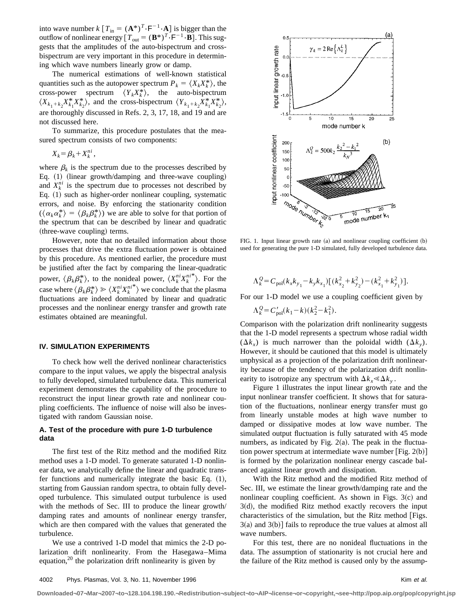into wave number  $k[T_{in} = (\mathbf{A}^*)^T \cdot \mathbf{F}^{-1} \cdot \mathbf{A}]$  is bigger than the outflow of nonlinear energy  $[T_{out} = (\mathbf{B}^*)^T \cdot \mathbf{F}^{-1} \cdot \mathbf{B}]$ . This suggests that the amplitudes of the auto-bispectrum and crossbispectrum are very important in this procedure in determining which wave numbers linearly grow or damp.

The numerical estimations of well-known statistical quantities such as the autopower spectrum  $P_k = \langle X_k X_k^* \rangle$ , the cross-power spectrum  $\langle Y_k X_k^* \rangle$ , the auto-bispectrum  $\langle X_{k_1+k_2}X_{k_1}^*X_{k_2}^* \rangle$ , and the cross-bispectrum  $\langle Y_{k_1+k_2}X_{k_1}^*X_{k_2}^* \rangle$ , are thoroughly discussed in Refs. 2, 3, 17, 18, and 19 and are not discussed here.

To summarize, this procedure postulates that the measured spectrum consists of two components:

$$
X_k = \beta_k + X_k^{ni},
$$

where  $\beta_k$  is the spectrum due to the processes described by Eq. (1) (linear growth/damping and three-wave coupling) and  $X_k^{ni}$  is the spectrum due to processes not described by Eq.  $(1)$  such as higher-order nonlinear coupling, systematic errors, and noise. By enforcing the stationarity condition  $(\langle \alpha_k \alpha_k^* \rangle = \langle \beta_k \beta_k^* \rangle)$  we are able to solve for that portion of the spectrum that can be described by linear and quadratic (three-wave coupling) terms.

However, note that no detailed information about those processes that drive the extra fluctuation power is obtained by this procedure. As mentioned earlier, the procedure must be justified after the fact by comparing the linear-quadratic power,  $\langle \beta_k \beta_k^* \rangle$ , to the nonideal power,  $\langle X_k^{ni} X_k^{ni*} \rangle$ . For the case where  $\langle \beta_k \beta_k^* \rangle \ge \langle X_k^{ni} X_k^{ni^*} \rangle$  we conclude that the plasma fluctuations are indeed dominated by linear and quadratic processes and the nonlinear energy transfer and growth rate estimates obtained are meaningful.

## **IV. SIMULATION EXPERIMENTS**

To check how well the derived nonlinear characteristics compare to the input values, we apply the bispectral analysis to fully developed, simulated turbulence data. This numerical experiment demonstrates the capability of the procedure to reconstruct the input linear growth rate and nonlinear coupling coefficients. The influence of noise will also be investigated with random Gaussian noise.

# **A. Test of the procedure with pure 1-D turbulence data**

The first test of the Ritz method and the modified Ritz method uses a 1-D model. To generate saturated 1-D nonlinear data, we analytically define the linear and quadratic transfer functions and numerically integrate the basic Eq.  $(1)$ , starting from Gaussian random spectra, to obtain fully developed turbulence. This simulated output turbulence is used with the methods of Sec. III to produce the linear growth/ damping rates and amounts of nonlinear energy transfer, which are then compared with the values that generated the turbulence.

We use a contrived 1-D model that mimics the 2-D polarization drift nonlinearity. From the Hasegawa–Mima equation,<sup>20</sup> the polarization drift nonlinearity is given by



FIG. 1. Input linear growth rate  $(a)$  and nonlinear coupling coefficient  $(b)$ used for generating the pure 1-D simulated, fully developed turbulence data.

$$
\Lambda_k^Q = C_{\text{pol}}(k_x k_{y_1} - k_y k_{x_1}) [(k_{x_2}^2 + k_{y_2}^2) - (k_{x_1}^2 + k_{y_1}^2)].
$$

For our 1-D model we use a coupling coefficient given by

$$
\Lambda_k^Q = C_{\text{pol}}'(k_1 - k)(k_2^2 - k_1^2).
$$

Comparison with the polarization drift nonlinearity suggests that the 1-D model represents a spectrum whose radial width  $(\Delta k_x)$  is much narrower than the poloidal width  $(\Delta k_y)$ . However, it should be cautioned that this model is ultimately unphysical as a projection of the polarization drift nonlinearity because of the tendency of the polarization drift nonlinearity to isotropize any spectrum with  $\Delta k_x \ll \Delta k_y$ .

Figure 1 illustrates the input linear growth rate and the input nonlinear transfer coefficient. It shows that for saturation of the fluctuations, nonlinear energy transfer must go from linearly unstable modes at high wave number to damped or dissipative modes at low wave number. The simulated output fluctuation is fully saturated with 45 mode numbers, as indicated by Fig.  $2(a)$ . The peak in the fluctuation power spectrum at intermediate wave number [Fig.  $2(b)$ ] is formed by the polarization nonlinear energy cascade balanced against linear growth and dissipation.

With the Ritz method and the modified Ritz method of Sec. III, we estimate the linear growth/damping rate and the nonlinear coupling coefficient. As shown in Figs.  $3(c)$  and  $3(d)$ , the modified Ritz method exactly recovers the input characteristics of the simulation, but the Ritz method [Figs.  $3(a)$  and  $3(b)$ ] fails to reproduce the true values at almost all wave numbers.

For this test, there are no nonideal fluctuations in the data. The assumption of stationarity is not crucial here and the failure of the Ritz method is caused only by the assump-

**Downloaded¬07¬Mar¬2007¬to¬128.104.198.190.¬Redistribution¬subject¬to¬AIP¬license¬or¬copyright,¬see¬http://pop.aip.org/pop/copyright.jsp**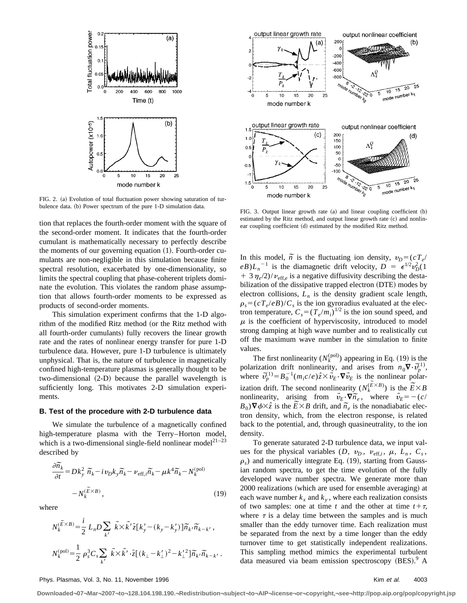

FIG. 2. (a) Evolution of total fluctuation power showing saturation of turbulence data. (b) Power spectrum of the pure 1-D simulation data. FIG. 3. Output linear growth rate (a) and linear coupling coefficient (b)

tion that replaces the fourth-order moment with the square of the second-order moment. It indicates that the fourth-order cumulant is mathematically necessary to perfectly describe the moments of our governing equation  $(1)$ . Fourth-order cumulants are non-negligible in this simulation because finite spectral resolution, exacerbated by one-dimensionality, so limits the spectral coupling that phase-coherent triplets dominate the evolution. This violates the random phase assumption that allows fourth-order moments to be expressed as products of second-order moments.

This simulation experiment confirms that the 1-D algorithm of the modified Ritz method (or the Ritz method with all fourth-order cumulants) fully recovers the linear growth rate and the rates of nonlinear energy transfer for pure 1-D turbulence data. However, pure 1-D turbulence is ultimately unphysical. That is, the nature of turbulence in magnetically confined high-temperature plasmas is generally thought to be  $two$ -dimensional  $(2-D)$  because the parallel wavelength is sufficiently long. This motivates 2-D simulation experiments.

#### **B. Test of the procedure with 2-D turbulence data**

We simulate the turbulence of a magnetically confined high-temperature plasma with the Terry–Horton model, which is a two-dimensional single-field nonlinear model<sup>21–23</sup> described by

$$
\frac{\partial \widetilde{n_k}}{\partial t} = Dk_y^2 \ \widetilde{n_k} - i \nu_D k_y \widetilde{n_k} - \nu_{\text{eff},i} \widetilde{n_k} - \mu k^4 \widetilde{n_k} - N_k^{(\text{pol})} - N_k^{(\widetilde{E} \times B)},\tag{19}
$$

where

$$
N_k^{(\widetilde{E} \times B)} = \frac{i}{2} L_n D \sum_{k'} \vec{k} \times \vec{k'} \hat{z} [k'_{y} - (k_y - k'_{y})] \widetilde{n}_{k'} \widetilde{n}_{k-k'},
$$
  

$$
N_k^{(\text{pol})} = \frac{1}{2} \rho_s^3 C_s \sum_{k'} \vec{k} \times \vec{k'} \cdot \hat{z} [(k_{\perp} - k'_{\perp})^2 - k_{\perp}^{\prime 2}] \widetilde{n}_{k'} \widetilde{n}_{k-k'}.
$$



estimated by the Ritz method, and output linear growth rate  $(c)$  and nonlinear coupling coefficient (d) estimated by the modified Ritz method.

In this model,  $\tilde{n}$  is the fluctuating ion density,  $v_D = (cT_e/d)$  $eB$ ) $L_n$ <sup>-1</sup> is the diamagnetic drift velocity,  $D = \epsilon^{1/2} v_D^2 (1$  $1 + 3 \eta_e/2$ / $\nu_{\text{eff},e}$  is a negative diffusivity describing the destabilization of the dissipative trapped electron (DTE) modes by electron collisions,  $L_n$  is the density gradient scale length,  $\rho_s = (cT_e/eB)/C_s$  is the ion gyroradius evaluated at the electron temperature,  $C_s = (T_e/m_i)^{1/2}$  is the ion sound speed, and  $\mu$  is the coefficient of hyperviscosity, introduced to model strong damping at high wave number and to realistically cut off the maximum wave number in the simulation to finite values.

The first nonlinearity  $(N_k^{\text{(pol)}})$  appearing in Eq. (19) is the polarization drift nonlinearity, and arises from  $n_0 \nabla \cdot \vec{v}_p^{(1)}$ , where  $\vec{v}_p^{(1)} = B_0^{-1} (m_i c/e) \hat{z} \times \vec{v}_E \cdot \nabla \vec{v}_E$  is the nonlinear polarization drift. The second nonlinearity  $(N_k^{(\widetilde{E} \times B)})$  is the  $\widetilde{E} \times B$ nonlinearity, arising from  $\vec{v}_E \cdot \nabla \vec{n}_e$ , where  $\vec{v}_E = -(c/\vec{B}_0) \nabla \phi \times \hat{z}$  is the  $\vec{E} \times B$  drift, and  $\vec{n}_e$  is the nonadiabatic elec- $B_0$ ) $\nabla \phi \times \hat{z}$  is the  $\hat{E} \times B$  drift, and  $\tilde{n}_e$  is the nonadiabatic electron density, which, from the electron response, is related back to the potential, and, through quasineutrality, to the ion density.

To generate saturated 2-D turbulence data, we input values for the physical variables  $(D, v_D, v_{\text{eff},i}, \mu, L_n, C_s,$  $\rho_s$ ) and numerically integrate Eq. (19), starting from Gaussian random spectra, to get the time evolution of the fully developed wave number spectra. We generate more than 2000 realizations (which are used for ensemble averaging) at each wave number  $k_x$  and  $k_y$ , where each realization consists of two samples: one at time *t* and the other at time  $t + \tau$ , where  $\tau$  is a delay time between the samples and is much smaller than the eddy turnover time. Each realization must be separated from the next by a time longer than the eddy turnover time to get statistically independent realizations. This sampling method mimics the experimental turbulent data measured via beam emission spectroscopy  $(BES)^9$ . A

#### Phys. Plasmas, Vol. 3, No. 11, November 1996 Kim et al. 4003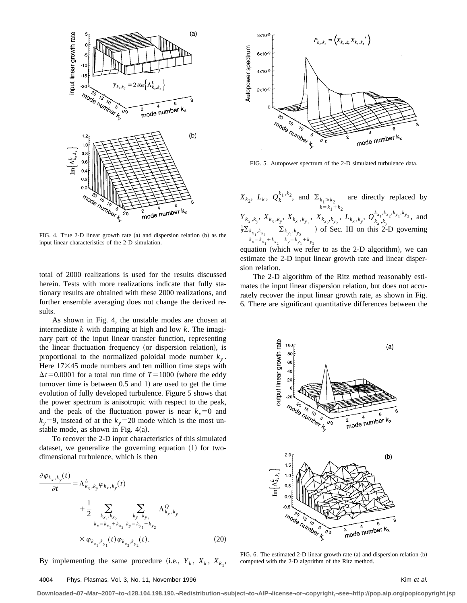

FIG. 4. True 2-D linear growth rate  $(a)$  and dispersion relation  $(b)$  as the input linear characteristics of the 2-D simulation.

total of 2000 realizations is used for the results discussed herein. Tests with more realizations indicate that fully stationary results are obtained with these 2000 realizations, and further ensemble averaging does not change the derived results.

As shown in Fig. 4, the unstable modes are chosen at intermediate *k* with damping at high and low *k*. The imaginary part of the input linear transfer function, representing the linear fluctuation frequency (or dispersion relation), is proportional to the normalized poloidal mode number  $k_{y}$ . Here  $17\times45$  mode numbers and ten million time steps with  $\Delta t$ =0.0001 for a total run time of *T*=1000 (where the eddy turnover time is between  $0.5$  and  $1$ ) are used to get the time evolution of fully developed turbulence. Figure 5 shows that the power spectrum is anisotropic with respect to the peak, and the peak of the fluctuation power is near  $k_x=0$  and  $k_y=9$ , instead of at the  $k_y=20$  mode which is the most unstable mode, as shown in Fig.  $4(a)$ .

To recover the 2-D input characteristics of this simulated dataset, we generalize the governing equation  $(1)$  for twodimensional turbulence, which is then

$$
\frac{\partial \varphi_{k_x, k_y}(t)}{\partial t} = \Lambda_{k_x, k_y}^L \varphi_{k_x, k_y}(t) \n+ \frac{1}{2} \sum_{\substack{k_{x_1}, k_{x_2} \\ k_x = k_{x_1} + k_{x_2} \\ k_y = k_{y_1} + k_{y_2}}} \sum_{\substack{k_{y_1}, k_{y_2} \\ k_y = k_{y_1} + k_{y_2}}} \Lambda_{k_x, k_y}^Q
$$
\n
$$
\times \varphi_{k_{x_1}, k_{y_1}}(t) \varphi_{k_{x_2}, k_{y_2}}(t).
$$
\n(20)

By implementing the same procedure (i.e.,  $Y_k$ ,  $X_k$ ,  $X_{k_1}$ ,



FIG. 5. Autopower spectrum of the 2-D simulated turbulence data.

 $X_{k_2}$ ,  $L_k$ ,  $Q_k^{k_1, k_2}$ , and  $\Sigma_{k_1 \ge k_2}$  $k = k_1 + k_2$ are directly replaced by  $Y_{k_x,k_y}, X_{k_x,k_y}, X_{k_{x_1},k_{y_1}}, X_{k_{x_2},k_{y_2}}, L_{k_x,k_y}, Q_{k_x,k_y}^{k_{x_1},k_{x_2},k_{y_1},k_{y_2}},$  and  $\frac{1}{2}\sum_{k_{x_1},k_{x_2}}$  $k_x = k_{x_1} + k_{x_2}$  $\Sigma_{k_{y_1},k_{y_2}}$  $k_y = k_{y_1} + k_{y_2}$ ) of Sec. III on this 2-D governing

equation (which we refer to as the 2-D algorithm), we can estimate the 2-D input linear growth rate and linear dispersion relation.

The 2-D algorithm of the Ritz method reasonably estimates the input linear dispersion relation, but does not accurately recover the input linear growth rate, as shown in Fig. 6. There are significant quantitative differences between the



FIG. 6. The estimated 2-D linear growth rate  $(a)$  and dispersion relation  $(b)$ computed with the 2-D algorithm of the Ritz method.

#### 4004 Phys. Plasmas, Vol. 3, No. 11, November 1996 **Kim et al.** And the state of al. And the state of al. And the state of al.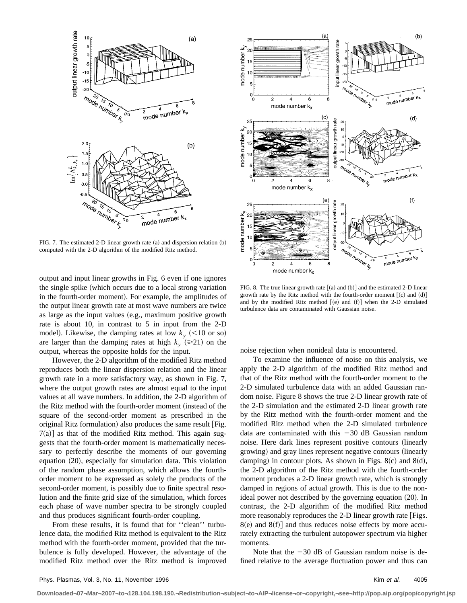

FIG. 7. The estimated 2-D linear growth rate  $(a)$  and dispersion relation  $(b)$ computed with the 2-D algorithm of the modified Ritz method.

output and input linear growths in Fig. 6 even if one ignores the single spike (which occurs due to a local strong variation in the fourth-order moment). For example, the amplitudes of the output linear growth rate at most wave numbers are twice as large as the input values  $(e.g.,$  maximum positive growth rate is about 10, in contrast to 5 in input from the 2-D model). Likewise, the damping rates at low  $k_y$  (<10 or so) are larger than the damping rates at high  $k_y$  ( $\geq 21$ ) on the output, whereas the opposite holds for the input.

However, the 2-D algorithm of the modified Ritz method reproduces both the linear dispersion relation and the linear growth rate in a more satisfactory way, as shown in Fig. 7, where the output growth rates are almost equal to the input values at all wave numbers. In addition, the 2-D algorithm of the Ritz method with the fourth-order moment (instead of the square of the second-order moment as prescribed in the original Ritz formulation) also produces the same result  $[Fig. 12]$  $7(a)$ ] as that of the modified Ritz method. This again suggests that the fourth-order moment is mathematically necessary to perfectly describe the moments of our governing equation (20), especially for simulation data. This violation of the random phase assumption, which allows the fourthorder moment to be expressed as solely the products of the second-order moment, is possibly due to finite spectral resolution and the finite grid size of the simulation, which forces each phase of wave number spectra to be strongly coupled and thus produces significant fourth-order coupling.

From these results, it is found that for ''clean'' turbulence data, the modified Ritz method is equivalent to the Ritz method with the fourth-order moment, provided that the turbulence is fully developed. However, the advantage of the modified Ritz method over the Ritz method is improved



FIG. 8. The true linear growth rate  $(a)$  and  $(b)$  and the estimated 2-D linear growth rate by the Ritz method with the fourth-order moment  $[(c)$  and  $(d)]$ and by the modified Ritz method  $[(e)$  and  $(f)]$  when the 2-D simulated turbulence data are contaminated with Gaussian noise.

noise rejection when nonideal data is encountered.

To examine the influence of noise on this analysis, we apply the 2-D algorithm of the modified Ritz method and that of the Ritz method with the fourth-order moment to the 2-D simulated turbulence data with an added Gaussian random noise. Figure 8 shows the true 2-D linear growth rate of the 2-D simulation and the estimated 2-D linear growth rate by the Ritz method with the fourth-order moment and the modified Ritz method when the 2-D simulated turbulence data are contaminated with this  $-30$  dB Gaussian random noise. Here dark lines represent positive contours (linearly growing) and gray lines represent negative contours (linearly damping) in contour plots. As shown in Figs. 8 $(c)$  and 8 $(d)$ , the 2-D algorithm of the Ritz method with the fourth-order moment produces a 2-D linear growth rate, which is strongly damped in regions of actual growth. This is due to the nonideal power not described by the governing equation  $(20)$ . In contrast, the 2-D algorithm of the modified Ritz method more reasonably reproduces the 2-D linear growth rate  $[Figs.$  $8(e)$  and  $8(f)$ ] and thus reduces noise effects by more accurately extracting the turbulent autopower spectrum via higher moments.

Note that the  $-30$  dB of Gaussian random noise is defined relative to the average fluctuation power and thus can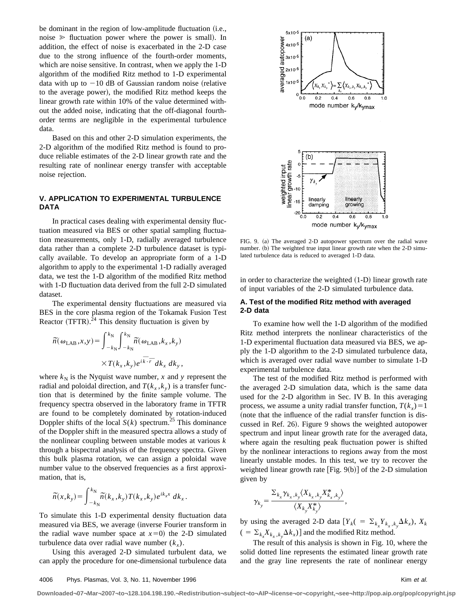be dominant in the region of low-amplitude fluctuation (i.e., noise  $\ge$  fluctuation power where the power is small). In addition, the effect of noise is exacerbated in the 2-D case due to the strong influence of the fourth-order moments, which are noise sensitive. In contrast, when we apply the 1-D algorithm of the modified Ritz method to 1-D experimental data with up to  $-10$  dB of Gaussian random noise (relative to the average power), the modified Ritz method keeps the linear growth rate within 10% of the value determined without the added noise, indicating that the off-diagonal fourthorder terms are negligible in the experimental turbulence data.

Based on this and other 2-D simulation experiments, the 2-D algorithm of the modified Ritz method is found to produce reliable estimates of the 2-D linear growth rate and the resulting rate of nonlinear energy transfer with acceptable noise rejection.

# **V. APPLICATION TO EXPERIMENTAL TURBULENCE DATA**

In practical cases dealing with experimental density fluctuation measured via BES or other spatial sampling fluctuation measurements, only 1-D, radially averaged turbulence data rather than a complete 2-D turbulence dataset is typically available. To develop an appropriate form of a 1-D algorithm to apply to the experimental 1-D radially averaged data, we test the 1-D algorithm of the modified Ritz method with 1-D fluctuation data derived from the full 2-D simulated dataset.

The experimental density fluctuations are measured via BES in the core plasma region of the Tokamak Fusion Test Reactor (TFTR). $^{24}$  This density fluctuation is given by

$$
\widetilde{n}(\omega_{\text{LAB}},x,y) = \int_{-k_{\text{N}}}^{k_{\text{N}}} \int_{-k_{\text{N}}}^{k_{\text{N}}} \widetilde{n}(\omega_{\text{LAB}},k_{x},k_{y})
$$

$$
\times T(k_{x},k_{y})e^{i\overline{k}\cdot\overline{r}}dk_{x} dk_{y},
$$

where  $k_N$  is the Nyquist wave number, *x* and *y* represent the radial and poloidal direction, and  $T(k_x, k_y)$  is a transfer function that is determined by the finite sample volume. The frequency spectra observed in the laboratory frame in TFTR are found to be completely dominated by rotation-induced Doppler shifts of the local  $S(k)$  spectrum.<sup>25</sup> This dominance of the Doppler shift in the measured spectra allows a study of the nonlinear coupling between unstable modes at various *k* through a bispectral analysis of the frequency spectra. Given this bulk plasma rotation, we can assign a poloidal wave number value to the observed frequencies as a first approximation, that is,

$$
\widetilde{n}(x,k_y) = \int_{-k_N}^{k_N} \widetilde{n}(k_x,k_y) T(k_x,k_y) e^{ik_x x} dk_x.
$$

To simulate this 1-D experimental density fluctuation data measured via BES, we average (inverse Fourier transform in the radial wave number space at  $x=0$  the 2-D simulated turbulence data over radial wave number  $(k_x)$ .

Using this averaged 2-D simulated turbulent data, we can apply the procedure for one-dimensional turbulence data



FIG. 9. (a) The averaged 2-D autopower spectrum over the radial wave number. (b) The weighted true input linear growth rate when the 2-D simulated turbulence data is reduced to averaged 1-D data.

in order to characterize the weighted  $(1-D)$  linear growth rate of input variables of the 2-D simulated turbulence data.

## **A. Test of the modified Ritz method with averaged 2-D data**

To examine how well the 1-D algorithm of the modified Ritz method interprets the nonlinear characteristics of the 1-D experimental fluctuation data measured via BES, we apply the 1-D algorithm to the 2-D simulated turbulence data, which is averaged over radial wave number to simulate 1-D experimental turbulence data.

The test of the modified Ritz method is performed with the averaged 2-D simulation data, which is the same data used for the 2-D algorithm in Sec. IV B. In this averaging process, we assume a unity radial transfer function,  $T(k<sub>x</sub>)=1$ (note that the influence of the radial transfer function is discussed in Ref. 26). Figure 9 shows the weighted autopower spectrum and input linear growth rate for the averaged data, where again the resulting peak fluctuation power is shifted by the nonlinear interactions to regions away from the most linearly unstable modes. In this test, we try to recover the weighted linear growth rate  $[Fig. 9(b)]$  of the 2-D simulation given by

$$
\gamma_{k_y} = \frac{\sum_{k_x} \gamma_{k_x,k_y} \langle X_{k_x,k_y} X^*_{k_x,k_y} \rangle}{\langle X_{k_y} X^*_{k_y} \rangle},
$$

by using the averaged 2-D data  $[Y_k] = \sum_{k_x} Y_{k_x, k_y} \Delta k_x$ ,  $X_k$  $( = \sum_{k_x} X_{k_x, k_y} \Delta k_x)$  and the modified Ritz method.

The result of this analysis is shown in Fig. 10, where the solid dotted line represents the estimated linear growth rate and the gray line represents the rate of nonlinear energy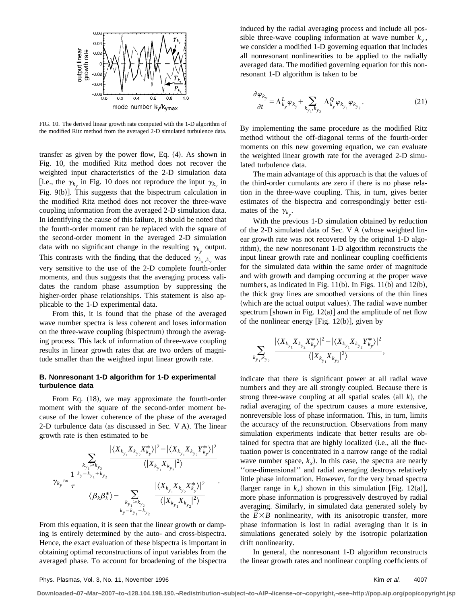

FIG. 10. The derived linear growth rate computed with the 1-D algorithm of the modified Ritz method from the averaged 2-D simulated turbulence data.

transfer as given by the power flow, Eq.  $(4)$ . As shown in Fig. 10, the modified Ritz method does not recover the weighted input characteristics of the 2-D simulation data [i.e., the  $\gamma_{k_y}$  in Fig. 10 does not reproduce the input  $\gamma_{k_y}$  in Fig.  $9(b)$ ]. This suggests that the bispectrum calculation in the modified Ritz method does not recover the three-wave coupling information from the averaged 2-D simulation data. In identifying the cause of this failure, it should be noted that the fourth-order moment can be replaced with the square of the second-order moment in the averaged 2-D simulation data with no significant change in the resulting  $\gamma_{k}$  output. This contrasts with the finding that the deduced  $\gamma_{k_x,k_y}$  was very sensitive to the use of the 2-D complete fourth-order moments, and thus suggests that the averaging process validates the random phase assumption by suppressing the higher-order phase relationships. This statement is also applicable to the 1-D experimental data.

From this, it is found that the phase of the averaged wave number spectra is less coherent and loses information on the three-wave coupling (bispectrum) through the averaging process. This lack of information of three-wave coupling results in linear growth rates that are two orders of magnitude smaller than the weighted input linear growth rate.

# **B. Nonresonant 1-D algorithm for 1-D experimental turbulence data**

From Eq.  $(18)$ , we may approximate the fourth-order moment with the square of the second-order moment because of the lower coherence of the phase of the averaged 2-D turbulence data (as discussed in Sec. V A). The linear growth rate is then estimated to be

$$
\gamma_{k_y} \approx \frac{1}{\tau} \frac{\sum_{k_{y_1} \geq k_{y_2}} \frac{|\langle X_{k_{y_1}} X_{k_{y_2}} X_{k_{y}}^* \rangle|^2 - |\langle X_{k_{y_1}} X_{k_{y_2}} Y_{k_{y}}^* \rangle|^2}{\langle |X_{k_{y_1}} X_{k_{y_2}}|^2 \rangle}}{\langle \beta_k \beta_k^* \rangle - \sum_{k_{y_1} \geq k_{y_2}} \frac{|\langle X_{k_{y_1}} X_{k_{y_2}} X_{k_{y}}^* \rangle|^2}{\langle |X_{k_{y_1}} X_{k_{y_2}} X_{k_{y_2}}^*|^2 \rangle}}.
$$

From this equation, it is seen that the linear growth or damping is entirely determined by the auto- and cross-bispectra. Hence, the exact evaluation of these bispectra is important in obtaining optimal reconstructions of input variables from the averaged phase. To account for broadening of the bispectra induced by the radial averaging process and include all possible three-wave coupling information at wave number  $k_{v}$ , we consider a modified 1-D governing equation that includes all nonresonant nonlinearities to be applied to the radially averaged data. The modified governing equation for this nonresonant 1-D algorithm is taken to be

$$
\frac{\partial \varphi_{k_y}}{\partial t} = \Lambda_{k_y}^L \varphi_{k_y} + \sum_{k_{y_1}, k_{y_2}} \Lambda_{k_y}^Q \varphi_{k_{y_1}} \varphi_{k_{y_2}}.
$$
\n(21)

By implementing the same procedure as the modified Ritz method without the off-diagonal terms of the fourth-order moments on this new governing equation, we can evaluate the weighted linear growth rate for the averaged 2-D simulated turbulence data.

The main advantage of this approach is that the values of the third-order cumulants are zero if there is no phase relation in the three-wave coupling. This, in turn, gives better estimates of the bispectra and correspondingly better estimates of the  $\gamma_{k_y}$ .

With the previous 1-D simulation obtained by reduction of the 2-D simulated data of Sec. V A (whose weighted linear growth rate was not recovered by the original 1-D algorithm), the new nonresonant 1-D algorithm reconstructs the input linear growth rate and nonlinear coupling coefficients for the simulated data within the same order of magnitude and with growth and damping occurring at the proper wave numbers, as indicated in Fig.  $11(b)$ . In Figs.  $11(b)$  and  $12(b)$ , the thick gray lines are smoothed versions of the thin lines (which are the actual output values). The radial wave number spectrum [shown in Fig.  $12(a)$ ] and the amplitude of net flow of the nonlinear energy [Fig.  $12(b)$ ], given by

$$
\sum_{k_{y_1},k_{y_2}}\frac{|\langle X_{k_{y_1}}X_{k_{y_2}}X_{k_{y}}^*\rangle|^2-|\langle X_{k_{y_1}}X_{k_{y_2}}Y_{k_{y}}^*\rangle|^2}{\langle |X_{k_{y_1}}X_{k_{y_2}}|^2\rangle},
$$

indicate that there is significant power at all radial wave numbers and they are all strongly coupled. Because there is strong three-wave coupling at all spatial scales  $(all k)$ , the radial averaging of the spectrum causes a more extensive, nonreversible loss of phase information. This, in turn, limits the accuracy of the reconstruction. Observations from many simulation experiments indicate that better results are obtained for spectra that are highly localized (i.e., all the fluctuation power is concentrated in a narrow range of the radial wave number space,  $k<sub>x</sub>$ ). In this case, the spectra are nearly ''one-dimensional'' and radial averaging destroys relatively little phase information. However, for the very broad spectra (larger range in  $k<sub>x</sub>$ ) shown in this simulation [Fig. 12(a)], more phase information is progressively destroyed by radial averaging. Similarly, in simulated data generated solely by averaging. Similarly, in simulated data generated solely by the  $\widetilde{E} \times B$  nonlinearity, with its anisotropic transfer, more phase information is lost in radial averaging than it is in simulations generated solely by the isotropic polarization drift nonlinearity.

In general, the nonresonant 1-D algorithm reconstructs the linear growth rates and nonlinear coupling coefficients of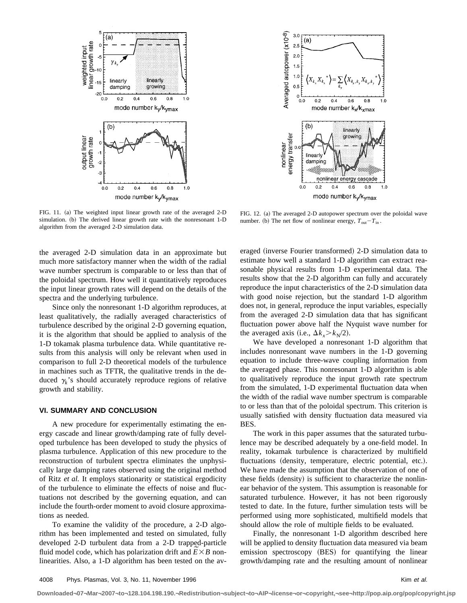

FIG. 11. (a) The weighted input linear growth rate of the averaged 2-D simulation. (b) The derived linear growth rate with the nonresonant 1-D algorithm from the averaged 2-D simulation data.

the averaged 2-D simulation data in an approximate but much more satisfactory manner when the width of the radial wave number spectrum is comparable to or less than that of the poloidal spectrum. How well it quantitatively reproduces the input linear growth rates will depend on the details of the spectra and the underlying turbulence.

Since only the nonresonant 1-D algorithm reproduces, at least qualitatively, the radially averaged characteristics of turbulence described by the original 2-D governing equation, it is the algorithm that should be applied to analysis of the 1-D tokamak plasma turbulence data. While quantitative results from this analysis will only be relevant when used in comparison to full 2-D theoretical models of the turbulence in machines such as TFTR, the qualitative trends in the deduced  $\gamma_k$ 's should accurately reproduce regions of relative growth and stability.

# **VI. SUMMARY AND CONCLUSION**

A new procedure for experimentally estimating the energy cascade and linear growth/damping rate of fully developed turbulence has been developed to study the physics of plasma turbulence. Application of this new procedure to the reconstruction of turbulent spectra eliminates the unphysically large damping rates observed using the original method of Ritz *et al.* It employs stationarity or statistical ergodicity of the turbulence to eliminate the effects of noise and fluctuations not described by the governing equation, and can include the fourth-order moment to avoid closure approximations as needed.

To examine the validity of the procedure, a 2-D algorithm has been implemented and tested on simulated, fully developed 2-D turbulent data from a 2-D trapped-particle developed 2-D turbulent data from a 2-D trapped-particle<br>fluid model code, which has polarization drift and  $\widetilde{E} \times B$  nonlinearities. Also, a 1-D algorithm has been tested on the av-



FIG. 12. (a) The averaged 2-D autopower spectrum over the poloidal wave number. (b) The net flow of nonlinear energy,  $T_{\text{out}}-T_{\text{in}}$ .

eraged (inverse Fourier transformed) 2-D simulation data to estimate how well a standard 1-D algorithm can extract reasonable physical results from 1-D experimental data. The results show that the 2-D algorithm can fully and accurately reproduce the input characteristics of the 2-D simulation data with good noise rejection, but the standard 1-D algorithm does not, in general, reproduce the input variables, especially from the averaged 2-D simulation data that has significant fluctuation power above half the Nyquist wave number for the averaged axis (i.e.,  $\Delta k_x > k_y/2$ ).

We have developed a nonresonant 1-D algorithm that includes nonresonant wave numbers in the 1-D governing equation to include three-wave coupling information from the averaged phase. This nonresonant 1-D algorithm is able to qualitatively reproduce the input growth rate spectrum from the simulated, 1-D experimental fluctuation data when the width of the radial wave number spectrum is comparable to or less than that of the poloidal spectrum. This criterion is usually satisfied with density fluctuation data measured via BES.

The work in this paper assumes that the saturated turbulence may be described adequately by a one-field model. In reality, tokamak turbulence is characterized by multifield fluctuations (density, temperature, electric potential, etc.). We have made the assumption that the observation of one of these fields (density) is sufficient to characterize the nonlinear behavior of the system. This assumption is reasonable for saturated turbulence. However, it has not been rigorously tested to date. In the future, further simulation tests will be performed using more sophisticated, multifield models that should allow the role of multiple fields to be evaluated.

Finally, the nonresonant 1-D algorithm described here will be applied to density fluctuation data measured via beam emission spectroscopy (BES) for quantifying the linear growth/damping rate and the resulting amount of nonlinear